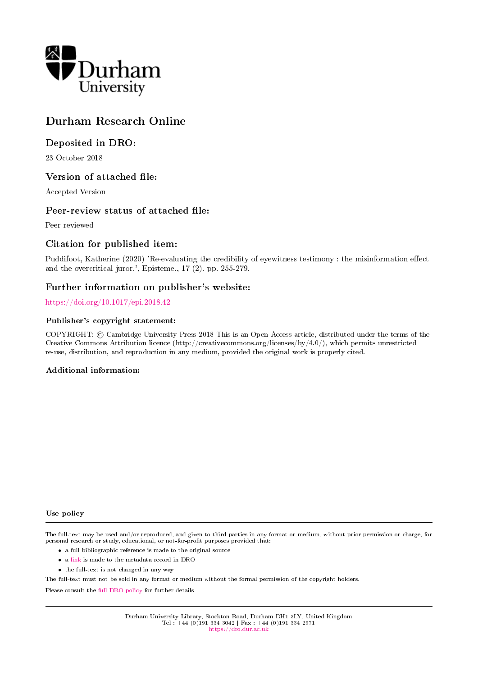

# Durham Research Online

## Deposited in DRO:

23 October 2018

### Version of attached file:

Accepted Version

### Peer-review status of attached file:

Peer-reviewed

### Citation for published item:

Puddifoot, Katherine (2020) 'Re-evaluating the credibility of eyewitness testimony : the misinformation effect and the overcritical juror.', Episteme., 17 (2). pp. 255-279.

## Further information on publisher's website:

#### <https://doi.org/10.1017/epi.2018.42>

#### Publisher's copyright statement:

COPYRIGHT: © Cambridge University Press 2018 This is an Open Access article, distributed under the terms of the Creative Commons Attribution licence (http://creativecommons.org/licenses/by/4.0/), which permits unrestricted re-use, distribution, and reproduction in any medium, provided the original work is properly cited.

#### Additional information:

#### Use policy

The full-text may be used and/or reproduced, and given to third parties in any format or medium, without prior permission or charge, for personal research or study, educational, or not-for-profit purposes provided that:

- a full bibliographic reference is made to the original source
- a [link](http://dro.dur.ac.uk/26586/) is made to the metadata record in DRO
- the full-text is not changed in any way

The full-text must not be sold in any format or medium without the formal permission of the copyright holders.

Please consult the [full DRO policy](https://dro.dur.ac.uk/policies/usepolicy.pdf) for further details.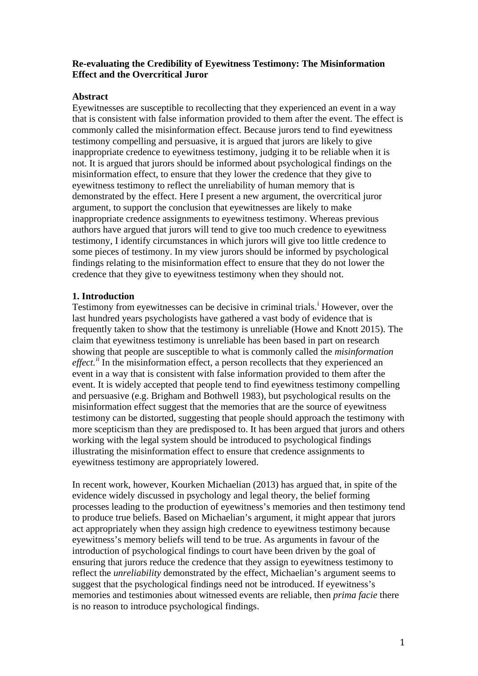## **Re-evaluating the Credibility of Eyewitness Testimony: The Misinformation Effect and the Overcritical Juror**

## **Abstract**

Eyewitnesses are susceptible to recollecting that they experienced an event in a way that is consistent with false information provided to them after the event. The effect is commonly called the misinformation effect. Because jurors tend to find eyewitness testimony compelling and persuasive, it is argued that jurors are likely to give inappropriate credence to eyewitness testimony, judging it to be reliable when it is not. It is argued that jurors should be informed about psychological findings on the misinformation effect, to ensure that they lower the credence that they give to eyewitness testimony to reflect the unreliability of human memory that is demonstrated by the effect. Here I present a new argument, the overcritical juror argument, to support the conclusion that eyewitnesses are likely to make inappropriate credence assignments to eyewitness testimony. Whereas previous authors have argued that jurors will tend to give too much credence to eyewitness testimony, I identify circumstances in which jurors will give too little credence to some pieces of testimony. In my view jurors should be informed by psychological findings relating to the misinformation effect to ensure that they do not lower the credence that they give to eyewitness testimony when they should not.

## **1. Introduction**

Test[i](#page-26-0)mony from eyewitnesses can be decisive in criminal trials.<sup>1</sup> However, over the last hundred years psychologists have gathered a vast body of evidence that is frequently taken to show that the testimony is unreliable (Howe and Knott 2015). The claim that eyewitness testimony is unreliable has been based in part on research showing that people are susceptible to what is commonly called the *misinformation*  effect.<sup>[ii](#page-26-1)</sup> In the misinformation effect, a person recollects that they experienced an event in a way that is consistent with false information provided to them after the event. It is widely accepted that people tend to find eyewitness testimony compelling and persuasive (e.g. Brigham and Bothwell 1983), but psychological results on the misinformation effect suggest that the memories that are the source of eyewitness testimony can be distorted, suggesting that people should approach the testimony with more scepticism than they are predisposed to. It has been argued that jurors and others working with the legal system should be introduced to psychological findings illustrating the misinformation effect to ensure that credence assignments to eyewitness testimony are appropriately lowered.

In recent work, however, Kourken Michaelian (2013) has argued that, in spite of the evidence widely discussed in psychology and legal theory, the belief forming processes leading to the production of eyewitness's memories and then testimony tend to produce true beliefs. Based on Michaelian's argument, it might appear that jurors act appropriately when they assign high credence to eyewitness testimony because eyewitness's memory beliefs will tend to be true. As arguments in favour of the introduction of psychological findings to court have been driven by the goal of ensuring that jurors reduce the credence that they assign to eyewitness testimony to reflect the *unreliability* demonstrated by the effect, Michaelian's argument seems to suggest that the psychological findings need not be introduced. If eyewitness's memories and testimonies about witnessed events are reliable, then *prima facie* there is no reason to introduce psychological findings.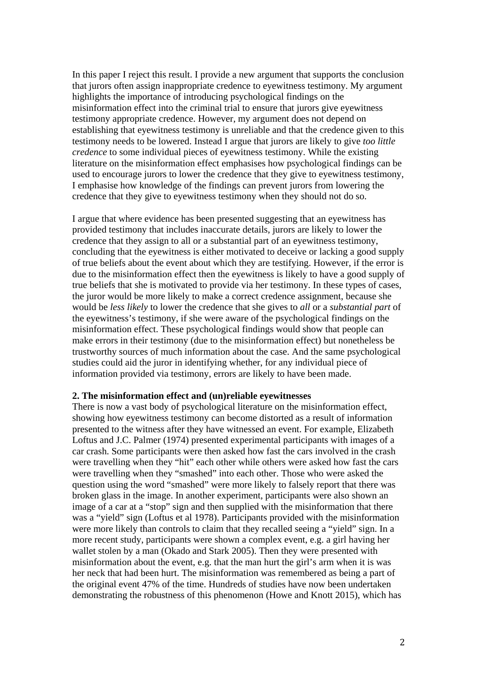In this paper I reject this result. I provide a new argument that supports the conclusion that jurors often assign inappropriate credence to eyewitness testimony. My argument highlights the importance of introducing psychological findings on the misinformation effect into the criminal trial to ensure that jurors give eyewitness testimony appropriate credence. However, my argument does not depend on establishing that eyewitness testimony is unreliable and that the credence given to this testimony needs to be lowered. Instead I argue that jurors are likely to give *too little credence* to some individual pieces of eyewitness testimony. While the existing literature on the misinformation effect emphasises how psychological findings can be used to encourage jurors to lower the credence that they give to eyewitness testimony, I emphasise how knowledge of the findings can prevent jurors from lowering the credence that they give to eyewitness testimony when they should not do so.

I argue that where evidence has been presented suggesting that an eyewitness has provided testimony that includes inaccurate details, jurors are likely to lower the credence that they assign to all or a substantial part of an eyewitness testimony, concluding that the eyewitness is either motivated to deceive or lacking a good supply of true beliefs about the event about which they are testifying. However, if the error is due to the misinformation effect then the eyewitness is likely to have a good supply of true beliefs that she is motivated to provide via her testimony. In these types of cases, the juror would be more likely to make a correct credence assignment, because she would be *less likely* to lower the credence that she gives to *all* or a *substantial part* of the eyewitness's testimony, if she were aware of the psychological findings on the misinformation effect. These psychological findings would show that people can make errors in their testimony (due to the misinformation effect) but nonetheless be trustworthy sources of much information about the case. And the same psychological studies could aid the juror in identifying whether, for any individual piece of information provided via testimony, errors are likely to have been made.

#### **2. The misinformation effect and (un)reliable eyewitnesses**

There is now a vast body of psychological literature on the misinformation effect, showing how eyewitness testimony can become distorted as a result of information presented to the witness after they have witnessed an event. For example, Elizabeth Loftus and J.C. Palmer (1974) presented experimental participants with images of a car crash. Some participants were then asked how fast the cars involved in the crash were travelling when they "hit" each other while others were asked how fast the cars were travelling when they "smashed" into each other. Those who were asked the question using the word "smashed" were more likely to falsely report that there was broken glass in the image. In another experiment, participants were also shown an image of a car at a "stop" sign and then supplied with the misinformation that there was a "yield" sign (Loftus et al 1978). Participants provided with the misinformation were more likely than controls to claim that they recalled seeing a "yield" sign. In a more recent study, participants were shown a complex event, e.g. a girl having her wallet stolen by a man (Okado and Stark 2005). Then they were presented with misinformation about the event, e.g. that the man hurt the girl's arm when it is was her neck that had been hurt. The misinformation was remembered as being a part of the original event 47% of the time. Hundreds of studies have now been undertaken demonstrating the robustness of this phenomenon (Howe and Knott 2015), which has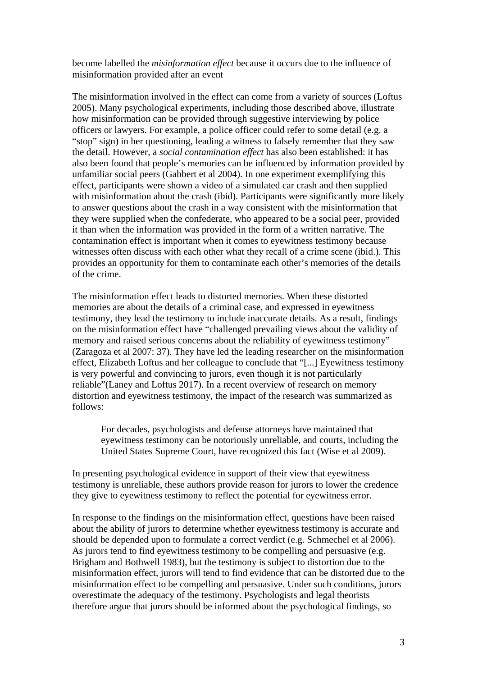become labelled the *misinformation effect* because it occurs due to the influence of misinformation provided after an event

The misinformation involved in the effect can come from a variety of sources (Loftus 2005). Many psychological experiments, including those described above, illustrate how misinformation can be provided through suggestive interviewing by police officers or lawyers. For example, a police officer could refer to some detail (e.g. a "stop" sign) in her questioning, leading a witness to falsely remember that they saw the detail. However, a *social contamination effect* has also been established: it has also been found that people's memories can be influenced by information provided by unfamiliar social peers (Gabbert et al 2004). In one experiment exemplifying this effect, participants were shown a video of a simulated car crash and then supplied with misinformation about the crash (ibid). Participants were significantly more likely to answer questions about the crash in a way consistent with the misinformation that they were supplied when the confederate, who appeared to be a social peer, provided it than when the information was provided in the form of a written narrative. The contamination effect is important when it comes to eyewitness testimony because witnesses often discuss with each other what they recall of a crime scene (ibid.). This provides an opportunity for them to contaminate each other's memories of the details of the crime.

The misinformation effect leads to distorted memories. When these distorted memories are about the details of a criminal case, and expressed in eyewitness testimony, they lead the testimony to include inaccurate details. As a result, findings on the misinformation effect have "challenged prevailing views about the validity of memory and raised serious concerns about the reliability of eyewitness testimony" (Zaragoza et al 2007: 37). They have led the leading researcher on the misinformation effect, Elizabeth Loftus and her colleague to conclude that "[...] Eyewitness testimony is very powerful and convincing to jurors, even though it is not particularly reliable"(Laney and Loftus 2017). In a recent overview of research on memory distortion and eyewitness testimony, the impact of the research was summarized as follows:

For decades, psychologists and defense attorneys have maintained that eyewitness testimony can be notoriously unreliable, and courts, including the United States Supreme Court, have recognized this fact (Wise et al 2009).

In presenting psychological evidence in support of their view that eyewitness testimony is unreliable, these authors provide reason for jurors to lower the credence they give to eyewitness testimony to reflect the potential for eyewitness error.

In response to the findings on the misinformation effect, questions have been raised about the ability of jurors to determine whether eyewitness testimony is accurate and should be depended upon to formulate a correct verdict (e.g. Schmechel et al 2006). As jurors tend to find eyewitness testimony to be compelling and persuasive (e.g. Brigham and Bothwell 1983), but the testimony is subject to distortion due to the misinformation effect, jurors will tend to find evidence that can be distorted due to the misinformation effect to be compelling and persuasive. Under such conditions, jurors overestimate the adequacy of the testimony. Psychologists and legal theorists therefore argue that jurors should be informed about the psychological findings, so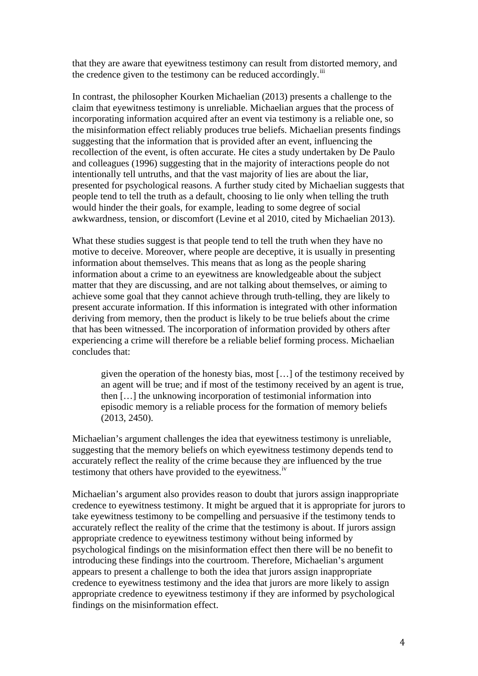that they are aware that eyewitness testimony can result from distorted memory, and the credence given to the testimony can be reduced accordingly.<sup>[iii](#page-26-2)</sup>

In contrast, the philosopher Kourken Michaelian (2013) presents a challenge to the claim that eyewitness testimony is unreliable. Michaelian argues that the process of incorporating information acquired after an event via testimony is a reliable one, so the misinformation effect reliably produces true beliefs. Michaelian presents findings suggesting that the information that is provided after an event, influencing the recollection of the event, is often accurate. He cites a study undertaken by De Paulo and colleagues (1996) suggesting that in the majority of interactions people do not intentionally tell untruths, and that the vast majority of lies are about the liar, presented for psychological reasons. A further study cited by Michaelian suggests that people tend to tell the truth as a default, choosing to lie only when telling the truth would hinder the their goals, for example, leading to some degree of social awkwardness, tension, or discomfort (Levine et al 2010, cited by Michaelian 2013).

What these studies suggest is that people tend to tell the truth when they have no motive to deceive. Moreover, where people are deceptive, it is usually in presenting information about themselves. This means that as long as the people sharing information about a crime to an eyewitness are knowledgeable about the subject matter that they are discussing, and are not talking about themselves, or aiming to achieve some goal that they cannot achieve through truth-telling, they are likely to present accurate information. If this information is integrated with other information deriving from memory, then the product is likely to be true beliefs about the crime that has been witnessed. The incorporation of information provided by others after experiencing a crime will therefore be a reliable belief forming process. Michaelian concludes that:

given the operation of the honesty bias, most […] of the testimony received by an agent will be true; and if most of the testimony received by an agent is true, then […] the unknowing incorporation of testimonial information into episodic memory is a reliable process for the formation of memory beliefs (2013, 2450).

Michaelian's argument challenges the idea that eyewitness testimony is unreliable, suggesting that the memory beliefs on which eyewitness testimony depends tend to accurately reflect the reality of the crime because they are influenced by the true testimony that others have provided to the eyewitness.<sup>[iv](#page-26-3)</sup>

Michaelian's argument also provides reason to doubt that jurors assign inappropriate credence to eyewitness testimony. It might be argued that it is appropriate for jurors to take eyewitness testimony to be compelling and persuasive if the testimony tends to accurately reflect the reality of the crime that the testimony is about. If jurors assign appropriate credence to eyewitness testimony without being informed by psychological findings on the misinformation effect then there will be no benefit to introducing these findings into the courtroom. Therefore, Michaelian's argument appears to present a challenge to both the idea that jurors assign inappropriate credence to eyewitness testimony and the idea that jurors are more likely to assign appropriate credence to eyewitness testimony if they are informed by psychological findings on the misinformation effect.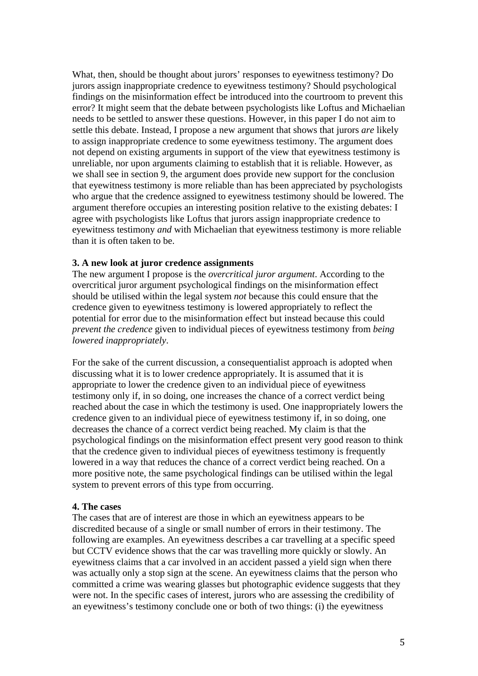What, then, should be thought about jurors' responses to eyewitness testimony? Do jurors assign inappropriate credence to eyewitness testimony? Should psychological findings on the misinformation effect be introduced into the courtroom to prevent this error? It might seem that the debate between psychologists like Loftus and Michaelian needs to be settled to answer these questions. However, in this paper I do not aim to settle this debate. Instead, I propose a new argument that shows that jurors *are* likely to assign inappropriate credence to some eyewitness testimony. The argument does not depend on existing arguments in support of the view that eyewitness testimony is unreliable, nor upon arguments claiming to establish that it is reliable. However, as we shall see in section 9, the argument does provide new support for the conclusion that eyewitness testimony is more reliable than has been appreciated by psychologists who argue that the credence assigned to eyewitness testimony should be lowered. The argument therefore occupies an interesting position relative to the existing debates: I agree with psychologists like Loftus that jurors assign inappropriate credence to eyewitness testimony *and* with Michaelian that eyewitness testimony is more reliable than it is often taken to be.

#### **3. A new look at juror credence assignments**

The new argument I propose is the *overcritical juror argument*. According to the overcritical juror argument psychological findings on the misinformation effect should be utilised within the legal system *not* because this could ensure that the credence given to eyewitness testimony is lowered appropriately to reflect the potential for error due to the misinformation effect but instead because this could *prevent the credence* given to individual pieces of eyewitness testimony from *being lowered inappropriately*.

For the sake of the current discussion, a consequentialist approach is adopted when discussing what it is to lower credence appropriately. It is assumed that it is appropriate to lower the credence given to an individual piece of eyewitness testimony only if, in so doing, one increases the chance of a correct verdict being reached about the case in which the testimony is used. One inappropriately lowers the credence given to an individual piece of eyewitness testimony if, in so doing, one decreases the chance of a correct verdict being reached. My claim is that the psychological findings on the misinformation effect present very good reason to think that the credence given to individual pieces of eyewitness testimony is frequently lowered in a way that reduces the chance of a correct verdict being reached. On a more positive note, the same psychological findings can be utilised within the legal system to prevent errors of this type from occurring.

#### **4. The cases**

The cases that are of interest are those in which an eyewitness appears to be discredited because of a single or small number of errors in their testimony. The following are examples. An eyewitness describes a car travelling at a specific speed but CCTV evidence shows that the car was travelling more quickly or slowly. An eyewitness claims that a car involved in an accident passed a yield sign when there was actually only a stop sign at the scene. An eyewitness claims that the person who committed a crime was wearing glasses but photographic evidence suggests that they were not. In the specific cases of interest, jurors who are assessing the credibility of an eyewitness's testimony conclude one or both of two things: (i) the eyewitness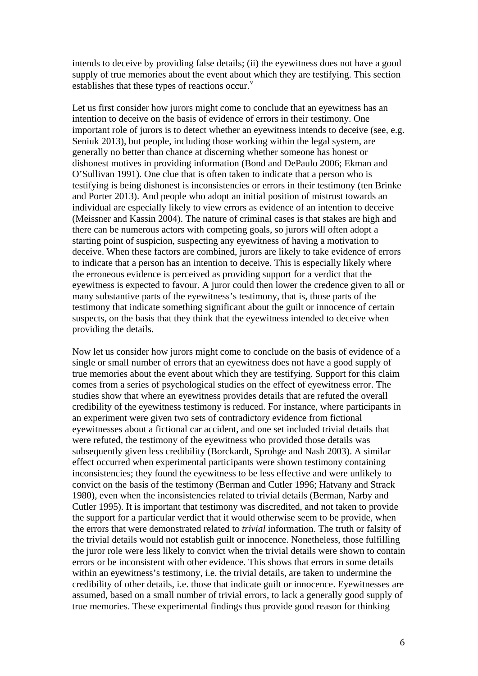intends to deceive by providing false details; (ii) the eyewitness does not have a good supply of true memories about the event about which they are testifying. This section establishes that these types of reactions occur.<sup>[v](#page-26-4)</sup>

Let us first consider how jurors might come to conclude that an eyewitness has an intention to deceive on the basis of evidence of errors in their testimony. One important role of jurors is to detect whether an eyewitness intends to deceive (see, e.g. Seniuk 2013), but people, including those working within the legal system, are generally no better than chance at discerning whether someone has honest or dishonest motives in providing information (Bond and DePaulo 2006; Ekman and O'Sullivan 1991). One clue that is often taken to indicate that a person who is testifying is being dishonest is inconsistencies or errors in their testimony (ten Brinke and Porter 2013). And people who adopt an initial position of mistrust towards an individual are especially likely to view errors as evidence of an intention to deceive (Meissner and Kassin 2004). The nature of criminal cases is that stakes are high and there can be numerous actors with competing goals, so jurors will often adopt a starting point of suspicion, suspecting any eyewitness of having a motivation to deceive. When these factors are combined, jurors are likely to take evidence of errors to indicate that a person has an intention to deceive. This is especially likely where the erroneous evidence is perceived as providing support for a verdict that the eyewitness is expected to favour. A juror could then lower the credence given to all or many substantive parts of the eyewitness's testimony, that is, those parts of the testimony that indicate something significant about the guilt or innocence of certain suspects, on the basis that they think that the eyewitness intended to deceive when providing the details.

Now let us consider how jurors might come to conclude on the basis of evidence of a single or small number of errors that an eyewitness does not have a good supply of true memories about the event about which they are testifying. Support for this claim comes from a series of psychological studies on the effect of eyewitness error. The studies show that where an eyewitness provides details that are refuted the overall credibility of the eyewitness testimony is reduced. For instance, where participants in an experiment were given two sets of contradictory evidence from fictional eyewitnesses about a fictional car accident, and one set included trivial details that were refuted, the testimony of the eyewitness who provided those details was subsequently given less credibility (Borckardt, Sprohge and Nash 2003). A similar effect occurred when experimental participants were shown testimony containing inconsistencies; they found the eyewitness to be less effective and were unlikely to convict on the basis of the testimony (Berman and Cutler 1996; Hatvany and Strack 1980), even when the inconsistencies related to trivial details (Berman, Narby and Cutler 1995). It is important that testimony was discredited, and not taken to provide the support for a particular verdict that it would otherwise seem to be provide, when the errors that were demonstrated related to *trivial* information. The truth or falsity of the trivial details would not establish guilt or innocence. Nonetheless, those fulfilling the juror role were less likely to convict when the trivial details were shown to contain errors or be inconsistent with other evidence. This shows that errors in some details within an eyewitness's testimony, i.e. the trivial details, are taken to undermine the credibility of other details, i.e. those that indicate guilt or innocence. Eyewitnesses are assumed, based on a small number of trivial errors, to lack a generally good supply of true memories. These experimental findings thus provide good reason for thinking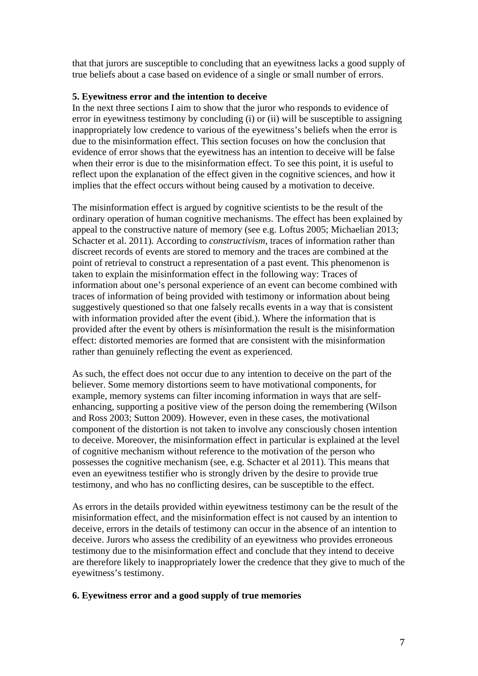that that jurors are susceptible to concluding that an eyewitness lacks a good supply of true beliefs about a case based on evidence of a single or small number of errors.

## **5. Eyewitness error and the intention to deceive**

In the next three sections I aim to show that the juror who responds to evidence of error in eyewitness testimony by concluding (i) or (ii) will be susceptible to assigning inappropriately low credence to various of the eyewitness's beliefs when the error is due to the misinformation effect. This section focuses on how the conclusion that evidence of error shows that the eyewitness has an intention to deceive will be false when their error is due to the misinformation effect. To see this point, it is useful to reflect upon the explanation of the effect given in the cognitive sciences, and how it implies that the effect occurs without being caused by a motivation to deceive.

The misinformation effect is argued by cognitive scientists to be the result of the ordinary operation of human cognitive mechanisms. The effect has been explained by appeal to the constructive nature of memory (see e.g. Loftus 2005; Michaelian 2013; Schacter et al. 2011)*.* According to *constructivism*, traces of information rather than discreet records of events are stored to memory and the traces are combined at the point of retrieval to construct a representation of a past event. This phenomenon is taken to explain the misinformation effect in the following way: Traces of information about one's personal experience of an event can become combined with traces of information of being provided with testimony or information about being suggestively questioned so that one falsely recalls events in a way that is consistent with information provided after the event (ibid.). Where the information that is provided after the event by others is *mis*information the result is the misinformation effect: distorted memories are formed that are consistent with the misinformation rather than genuinely reflecting the event as experienced.

As such, the effect does not occur due to any intention to deceive on the part of the believer. Some memory distortions seem to have motivational components, for example, memory systems can filter incoming information in ways that are selfenhancing, supporting a positive view of the person doing the remembering (Wilson and Ross 2003; Sutton 2009). However, even in these cases, the motivational component of the distortion is not taken to involve any consciously chosen intention to deceive. Moreover, the misinformation effect in particular is explained at the level of cognitive mechanism without reference to the motivation of the person who possesses the cognitive mechanism (see, e.g. Schacter et al 2011). This means that even an eyewitness testifier who is strongly driven by the desire to provide true testimony, and who has no conflicting desires, can be susceptible to the effect.

As errors in the details provided within eyewitness testimony can be the result of the misinformation effect, and the misinformation effect is not caused by an intention to deceive, errors in the details of testimony can occur in the absence of an intention to deceive. Jurors who assess the credibility of an eyewitness who provides erroneous testimony due to the misinformation effect and conclude that they intend to deceive are therefore likely to inappropriately lower the credence that they give to much of the eyewitness's testimony.

## **6. Eyewitness error and a good supply of true memories**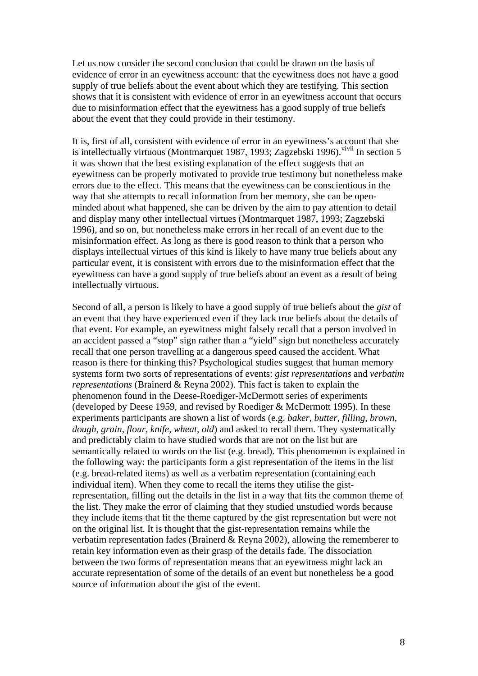Let us now consider the second conclusion that could be drawn on the basis of evidence of error in an eyewitness account: that the eyewitness does not have a good supply of true beliefs about the event about which they are testifying. This section shows that it is consistent with evidence of error in an eyewitness account that occurs due to misinformation effect that the eyewitness has a good supply of true beliefs about the event that they could provide in their testimony.

It is, first of all, consistent with evidence of error in an eyewitness's account that she is intellectually [vi](#page-26-5)rtuous (Montmarquet 1987, 1993; Zagzebski 1996). <sup>vi[vii](#page-26-6)</sup> In section 5 it was shown that the best existing explanation of the effect suggests that an eyewitness can be properly motivated to provide true testimony but nonetheless make errors due to the effect. This means that the eyewitness can be conscientious in the way that she attempts to recall information from her memory, she can be openminded about what happened, she can be driven by the aim to pay attention to detail and display many other intellectual virtues (Montmarquet 1987, 1993; Zagzebski 1996), and so on, but nonetheless make errors in her recall of an event due to the misinformation effect. As long as there is good reason to think that a person who displays intellectual virtues of this kind is likely to have many true beliefs about any particular event, it is consistent with errors due to the misinformation effect that the eyewitness can have a good supply of true beliefs about an event as a result of being intellectually virtuous.

Second of all, a person is likely to have a good supply of true beliefs about the *gist* of an event that they have experienced even if they lack true beliefs about the details of that event. For example, an eyewitness might falsely recall that a person involved in an accident passed a "stop" sign rather than a "yield" sign but nonetheless accurately recall that one person travelling at a dangerous speed caused the accident. What reason is there for thinking this? Psychological studies suggest that human memory systems form two sorts of representations of events: *gist representations* and *verbatim representations* (Brainerd & Reyna 2002). This fact is taken to explain the phenomenon found in the Deese-Roediger-McDermott series of experiments (developed by Deese 1959, and revised by Roediger & McDermott 1995). In these experiments participants are shown a list of words (e.g. *baker, butter, filling, brown, dough, grain, flour, knife, wheat, old*) and asked to recall them. They systematically and predictably claim to have studied words that are not on the list but are semantically related to words on the list (e.g. bread). This phenomenon is explained in the following way: the participants form a gist representation of the items in the list (e.g. bread-related items) as well as a verbatim representation (containing each individual item). When they come to recall the items they utilise the gistrepresentation, filling out the details in the list in a way that fits the common theme of the list. They make the error of claiming that they studied unstudied words because they include items that fit the theme captured by the gist representation but were not on the original list. It is thought that the gist-representation remains while the verbatim representation fades (Brainerd & Reyna 2002), allowing the rememberer to retain key information even as their grasp of the details fade. The dissociation between the two forms of representation means that an eyewitness might lack an accurate representation of some of the details of an event but nonetheless be a good source of information about the gist of the event.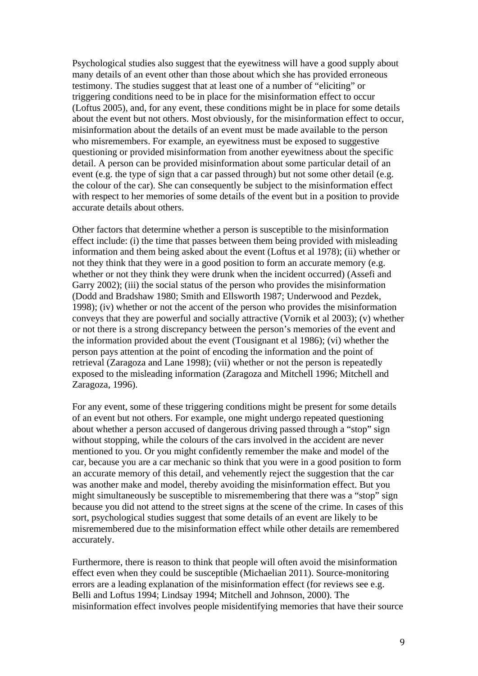Psychological studies also suggest that the eyewitness will have a good supply about many details of an event other than those about which she has provided erroneous testimony. The studies suggest that at least one of a number of "eliciting" or triggering conditions need to be in place for the misinformation effect to occur (Loftus 2005), and, for any event, these conditions might be in place for some details about the event but not others. Most obviously, for the misinformation effect to occur, misinformation about the details of an event must be made available to the person who misremembers. For example, an eyewitness must be exposed to suggestive questioning or provided misinformation from another eyewitness about the specific detail. A person can be provided misinformation about some particular detail of an event (e.g. the type of sign that a car passed through) but not some other detail (e.g. the colour of the car). She can consequently be subject to the misinformation effect with respect to her memories of some details of the event but in a position to provide accurate details about others.

Other factors that determine whether a person is susceptible to the misinformation effect include: (i) the time that passes between them being provided with misleading information and them being asked about the event (Loftus et al 1978); (ii) whether or not they think that they were in a good position to form an accurate memory (e.g. whether or not they think they were drunk when the incident occurred) (Assefi and Garry 2002); (iii) the social status of the person who provides the misinformation (Dodd and Bradshaw 1980; Smith and Ellsworth 1987; Underwood and Pezdek, 1998); (iv) whether or not the accent of the person who provides the misinformation conveys that they are powerful and socially attractive (Vornik et al 2003); (v) whether or not there is a strong discrepancy between the person's memories of the event and the information provided about the event (Tousignant et al 1986); (vi) whether the person pays attention at the point of encoding the information and the point of retrieval (Zaragoza and Lane 1998); (vii) whether or not the person is repeatedly exposed to the misleading information (Zaragoza and Mitchell 1996; Mitchell and Zaragoza, 1996).

For any event, some of these triggering conditions might be present for some details of an event but not others. For example, one might undergo repeated questioning about whether a person accused of dangerous driving passed through a "stop" sign without stopping, while the colours of the cars involved in the accident are never mentioned to you. Or you might confidently remember the make and model of the car, because you are a car mechanic so think that you were in a good position to form an accurate memory of this detail, and vehemently reject the suggestion that the car was another make and model, thereby avoiding the misinformation effect. But you might simultaneously be susceptible to misremembering that there was a "stop" sign because you did not attend to the street signs at the scene of the crime. In cases of this sort, psychological studies suggest that some details of an event are likely to be misremembered due to the misinformation effect while other details are remembered accurately.

Furthermore, there is reason to think that people will often avoid the misinformation effect even when they could be susceptible (Michaelian 2011). Source-monitoring errors are a leading explanation of the misinformation effect (for reviews see e.g. Belli and Loftus 1994; Lindsay 1994; Mitchell and Johnson, 2000). The misinformation effect involves people misidentifying memories that have their source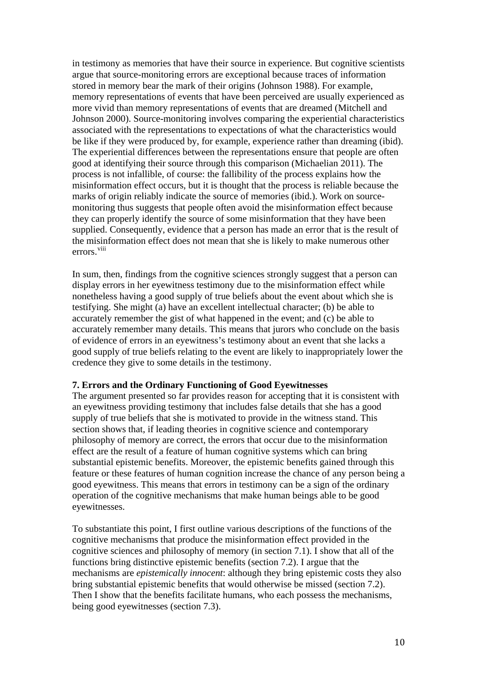in testimony as memories that have their source in experience. But cognitive scientists argue that source-monitoring errors are exceptional because traces of information stored in memory bear the mark of their origins (Johnson 1988). For example, memory representations of events that have been perceived are usually experienced as more vivid than memory representations of events that are dreamed (Mitchell and Johnson 2000). Source-monitoring involves comparing the experiential characteristics associated with the representations to expectations of what the characteristics would be like if they were produced by, for example, experience rather than dreaming (ibid). The experiential differences between the representations ensure that people are often good at identifying their source through this comparison (Michaelian 2011). The process is not infallible, of course: the fallibility of the process explains how the misinformation effect occurs, but it is thought that the process is reliable because the marks of origin reliably indicate the source of memories (ibid.). Work on sourcemonitoring thus suggests that people often avoid the misinformation effect because they can properly identify the source of some misinformation that they have been supplied. Consequently, evidence that a person has made an error that is the result of the misinformation effect does not mean that she is likely to make numerous other errors.<sup>[viii](#page-26-7)</sup>

In sum, then, findings from the cognitive sciences strongly suggest that a person can display errors in her eyewitness testimony due to the misinformation effect while nonetheless having a good supply of true beliefs about the event about which she is testifying. She might (a) have an excellent intellectual character; (b) be able to accurately remember the gist of what happened in the event; and (c) be able to accurately remember many details. This means that jurors who conclude on the basis of evidence of errors in an eyewitness's testimony about an event that she lacks a good supply of true beliefs relating to the event are likely to inappropriately lower the credence they give to some details in the testimony.

### **7. Errors and the Ordinary Functioning of Good Eyewitnesses**

The argument presented so far provides reason for accepting that it is consistent with an eyewitness providing testimony that includes false details that she has a good supply of true beliefs that she is motivated to provide in the witness stand. This section shows that, if leading theories in cognitive science and contemporary philosophy of memory are correct, the errors that occur due to the misinformation effect are the result of a feature of human cognitive systems which can bring substantial epistemic benefits. Moreover, the epistemic benefits gained through this feature or these features of human cognition increase the chance of any person being a good eyewitness. This means that errors in testimony can be a sign of the ordinary operation of the cognitive mechanisms that make human beings able to be good eyewitnesses.

To substantiate this point, I first outline various descriptions of the functions of the cognitive mechanisms that produce the misinformation effect provided in the cognitive sciences and philosophy of memory (in section 7.1). I show that all of the functions bring distinctive epistemic benefits (section 7.2). I argue that the mechanisms are *epistemically innocent*: although they bring epistemic costs they also bring substantial epistemic benefits that would otherwise be missed (section 7.2). Then I show that the benefits facilitate humans, who each possess the mechanisms, being good eyewitnesses (section 7.3).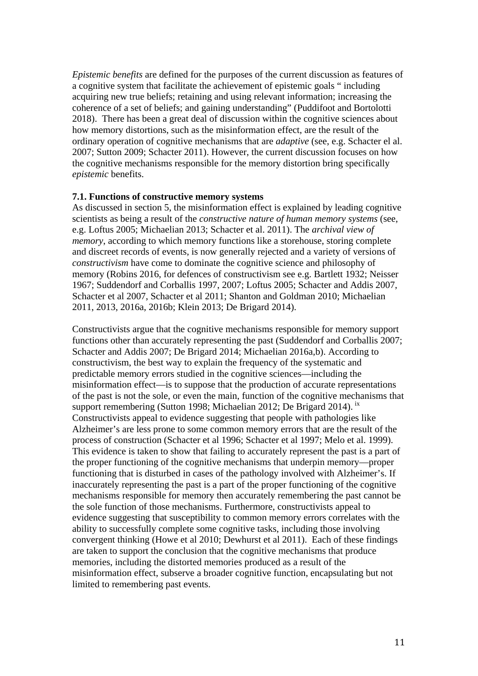*Epistemic benefits* are defined for the purposes of the current discussion as features of a cognitive system that facilitate the achievement of epistemic goals " including acquiring new true beliefs; retaining and using relevant information; increasing the coherence of a set of beliefs; and gaining understanding" (Puddifoot and Bortolotti 2018). There has been a great deal of discussion within the cognitive sciences about how memory distortions, such as the misinformation effect, are the result of the ordinary operation of cognitive mechanisms that are *adaptive* (see, e.g. Schacter el al. 2007; Sutton 2009; Schacter 2011). However, the current discussion focuses on how the cognitive mechanisms responsible for the memory distortion bring specifically *epistemic* benefits.

### **7.1. Functions of constructive memory systems**

As discussed in section 5, the misinformation effect is explained by leading cognitive scientists as being a result of the *constructive nature of human memory systems* (see, e.g. Loftus 2005; Michaelian 2013; Schacter et al. 2011). The *archival view of memory*, according to which memory functions like a storehouse, storing complete and discreet records of events, is now generally rejected and a variety of versions of *constructivism* have come to dominate the cognitive science and philosophy of memory (Robins 2016, for defences of constructivism see e.g. Bartlett 1932; Neisser 1967; Suddendorf and Corballis 1997, 2007; Loftus 2005; Schacter and Addis 2007, Schacter et al 2007, Schacter et al 2011; Shanton and Goldman 2010; Michaelian 2011, 2013, 2016a, 2016b; Klein 2013; De Brigard 2014).

Constructivists argue that the cognitive mechanisms responsible for memory support functions other than accurately representing the past (Suddendorf and Corballis 2007; Schacter and Addis 2007; De Brigard 2014; Michaelian 2016a,b). According to constructivism, the best way to explain the frequency of the systematic and predictable memory errors studied in the cognitive sciences—including the misinformation effect—is to suppose that the production of accurate representations of the past is not the sole, or even the main, function of the cognitive mechanisms that support remembering (Sutton 1998; Michaelian 2012; De Brigard 2014). [ix](#page-26-8) Constructivists appeal to evidence suggesting that people with pathologies like Alzheimer's are less prone to some common memory errors that are the result of the process of construction (Schacter et al 1996; Schacter et al 1997; Melo et al. 1999). This evidence is taken to show that failing to accurately represent the past is a part of the proper functioning of the cognitive mechanisms that underpin memory—proper functioning that is disturbed in cases of the pathology involved with Alzheimer's. If inaccurately representing the past is a part of the proper functioning of the cognitive mechanisms responsible for memory then accurately remembering the past cannot be the sole function of those mechanisms. Furthermore, constructivists appeal to evidence suggesting that susceptibility to common memory errors correlates with the ability to successfully complete some cognitive tasks, including those involving convergent thinking (Howe et al 2010; Dewhurst et al 2011). Each of these findings are taken to support the conclusion that the cognitive mechanisms that produce memories, including the distorted memories produced as a result of the misinformation effect, subserve a broader cognitive function, encapsulating but not limited to remembering past events.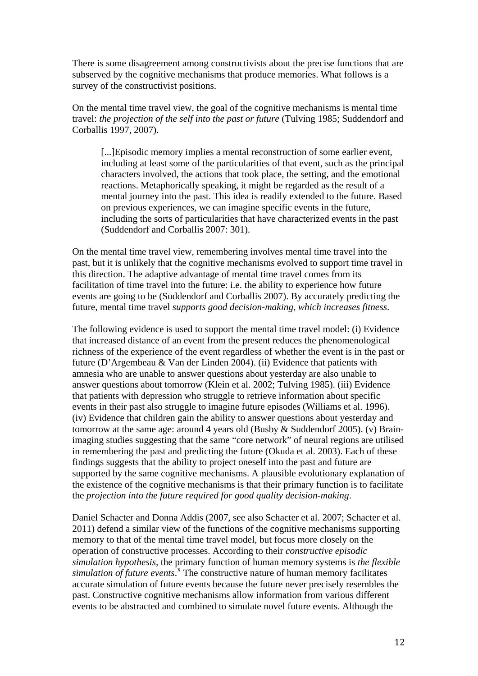There is some disagreement among constructivists about the precise functions that are subserved by the cognitive mechanisms that produce memories. What follows is a survey of the constructivist positions.

On the mental time travel view, the goal of the cognitive mechanisms is mental time travel: *the projection of the self into the past or future* (Tulving 1985; Suddendorf and Corballis 1997, 2007).

[...]Episodic memory implies a mental reconstruction of some earlier event, including at least some of the particularities of that event, such as the principal characters involved, the actions that took place, the setting, and the emotional reactions. Metaphorically speaking, it might be regarded as the result of a mental journey into the past. This idea is readily extended to the future. Based on previous experiences, we can imagine specific events in the future, including the sorts of particularities that have characterized events in the past (Suddendorf and Corballis 2007: 301).

On the mental time travel view, remembering involves mental time travel into the past, but it is unlikely that the cognitive mechanisms evolved to support time travel in this direction. The adaptive advantage of mental time travel comes from its facilitation of time travel into the future: i.e. the ability to experience how future events are going to be (Suddendorf and Corballis 2007). By accurately predicting the future, mental time travel *supports good decision-making, which increases fitness*.

The following evidence is used to support the mental time travel model: (i) Evidence that increased distance of an event from the present reduces the phenomenological richness of the experience of the event regardless of whether the event is in the past or future (D'Argembeau & Van der Linden 2004). (ii) Evidence that patients with amnesia who are unable to answer questions about yesterday are also unable to answer questions about tomorrow (Klein et al. 2002; Tulving 1985). (iii) Evidence that patients with depression who struggle to retrieve information about specific events in their past also struggle to imagine future episodes (Williams et al. 1996). (iv) Evidence that children gain the ability to answer questions about yesterday and tomorrow at the same age: around 4 years old (Busby & Suddendorf 2005). (v) Brainimaging studies suggesting that the same "core network" of neural regions are utilised in remembering the past and predicting the future (Okuda et al. 2003). Each of these findings suggests that the ability to project oneself into the past and future are supported by the same cognitive mechanisms. A plausible evolutionary explanation of the existence of the cognitive mechanisms is that their primary function is to facilitate the *projection into the future required for good quality decision-making*.

Daniel Schacter and Donna Addis (2007, see also Schacter et al. 2007; Schacter et al. 2011) defend a similar view of the functions of the cognitive mechanisms supporting memory to that of the mental time travel model, but focus more closely on the operation of constructive processes. According to their *constructive episodic simulation hypothesis,* the primary function of human memory systems is *the flexible*  simulation of future events.<sup>[x](#page-26-9)</sup> The constructive nature of human memory facilitates accurate simulation of future events because the future never precisely resembles the past. Constructive cognitive mechanisms allow information from various different events to be abstracted and combined to simulate novel future events. Although the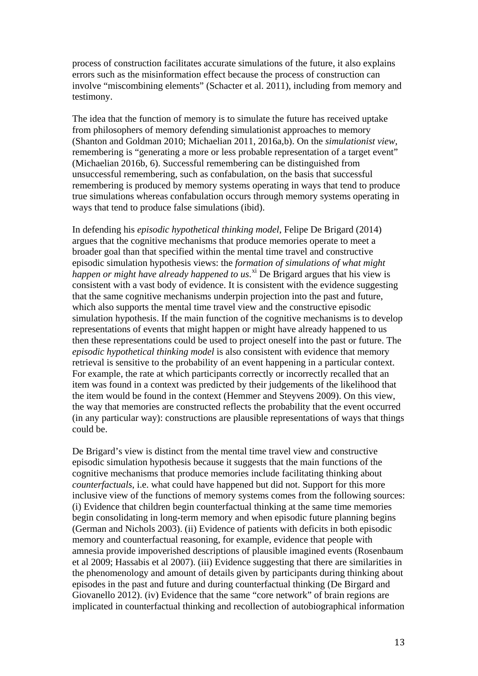process of construction facilitates accurate simulations of the future, it also explains errors such as the misinformation effect because the process of construction can involve "miscombining elements" (Schacter et al. 2011), including from memory and testimony.

The idea that the function of memory is to simulate the future has received uptake from philosophers of memory defending simulationist approaches to memory (Shanton and Goldman 2010; Michaelian 2011, 2016a,b). On the *simulationist view*, remembering is "generating a more or less probable representation of a target event" (Michaelian 2016b, 6). Successful remembering can be distinguished from unsuccessful remembering, such as confabulation, on the basis that successful remembering is produced by memory systems operating in ways that tend to produce true simulations whereas confabulation occurs through memory systems operating in ways that tend to produce false simulations (ibid).

In defending his *episodic hypothetical thinking model*, Felipe De Brigard (2014) argues that the cognitive mechanisms that produce memories operate to meet a broader goal than that specified within the mental time travel and constructive episodic simulation hypothesis views: the *formation of simulations of what might happen or might have already happened to us*. [xi](#page-27-0) De Brigard argues that his view is consistent with a vast body of evidence. It is consistent with the evidence suggesting that the same cognitive mechanisms underpin projection into the past and future, which also supports the mental time travel view and the constructive episodic simulation hypothesis. If the main function of the cognitive mechanisms is to develop representations of events that might happen or might have already happened to us then these representations could be used to project oneself into the past or future. The *episodic hypothetical thinking model* is also consistent with evidence that memory retrieval is sensitive to the probability of an event happening in a particular context. For example, the rate at which participants correctly or incorrectly recalled that an item was found in a context was predicted by their judgements of the likelihood that the item would be found in the context (Hemmer and Steyvens 2009). On this view, the way that memories are constructed reflects the probability that the event occurred (in any particular way): constructions are plausible representations of ways that things could be.

De Brigard's view is distinct from the mental time travel view and constructive episodic simulation hypothesis because it suggests that the main functions of the cognitive mechanisms that produce memories include facilitating thinking about *counterfactuals*, i.e. what could have happened but did not. Support for this more inclusive view of the functions of memory systems comes from the following sources: (i) Evidence that children begin counterfactual thinking at the same time memories begin consolidating in long-term memory and when episodic future planning begins (German and Nichols 2003). (ii) Evidence of patients with deficits in both episodic memory and counterfactual reasoning, for example, evidence that people with amnesia provide impoverished descriptions of plausible imagined events (Rosenbaum et al 2009; Hassabis et al 2007). (iii) Evidence suggesting that there are similarities in the phenomenology and amount of details given by participants during thinking about episodes in the past and future and during counterfactual thinking (De Birgard and Giovanello 2012). (iv) Evidence that the same "core network" of brain regions are implicated in counterfactual thinking and recollection of autobiographical information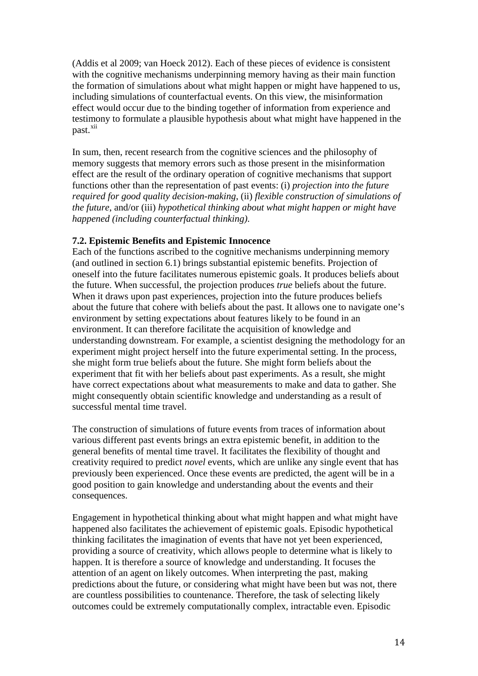(Addis et al 2009; van Hoeck 2012). Each of these pieces of evidence is consistent with the cognitive mechanisms underpinning memory having as their main function the formation of simulations about what might happen or might have happened to us, including simulations of counterfactual events. On this view, the misinformation effect would occur due to the binding together of information from experience and testimony to formulate a plausible hypothesis about what might have happened in the past.<sup>[xii](#page-27-1)</sup>

In sum, then, recent research from the cognitive sciences and the philosophy of memory suggests that memory errors such as those present in the misinformation effect are the result of the ordinary operation of cognitive mechanisms that support functions other than the representation of past events: (i) *projection into the future required for good quality decision-making*, (ii) *flexible construction of simulations of the future*, and/or (iii) *hypothetical thinking about what might happen or might have happened (including counterfactual thinking)*.

## **7.2. Epistemic Benefits and Epistemic Innocence**

Each of the functions ascribed to the cognitive mechanisms underpinning memory (and outlined in section 6.1) brings substantial epistemic benefits. Projection of oneself into the future facilitates numerous epistemic goals. It produces beliefs about the future. When successful, the projection produces *true* beliefs about the future. When it draws upon past experiences, projection into the future produces beliefs about the future that cohere with beliefs about the past. It allows one to navigate one's environment by setting expectations about features likely to be found in an environment. It can therefore facilitate the acquisition of knowledge and understanding downstream. For example, a scientist designing the methodology for an experiment might project herself into the future experimental setting. In the process, she might form true beliefs about the future. She might form beliefs about the experiment that fit with her beliefs about past experiments. As a result, she might have correct expectations about what measurements to make and data to gather. She might consequently obtain scientific knowledge and understanding as a result of successful mental time travel.

The construction of simulations of future events from traces of information about various different past events brings an extra epistemic benefit, in addition to the general benefits of mental time travel. It facilitates the flexibility of thought and creativity required to predict *novel* events, which are unlike any single event that has previously been experienced. Once these events are predicted, the agent will be in a good position to gain knowledge and understanding about the events and their consequences.

Engagement in hypothetical thinking about what might happen and what might have happened also facilitates the achievement of epistemic goals. Episodic hypothetical thinking facilitates the imagination of events that have not yet been experienced, providing a source of creativity, which allows people to determine what is likely to happen. It is therefore a source of knowledge and understanding. It focuses the attention of an agent on likely outcomes. When interpreting the past, making predictions about the future, or considering what might have been but was not, there are countless possibilities to countenance. Therefore, the task of selecting likely outcomes could be extremely computationally complex, intractable even. Episodic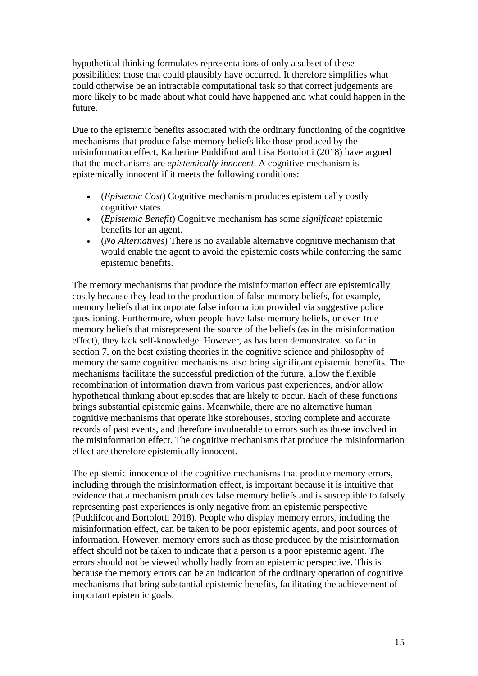hypothetical thinking formulates representations of only a subset of these possibilities: those that could plausibly have occurred. It therefore simplifies what could otherwise be an intractable computational task so that correct judgements are more likely to be made about what could have happened and what could happen in the future.

Due to the epistemic benefits associated with the ordinary functioning of the cognitive mechanisms that produce false memory beliefs like those produced by the misinformation effect, Katherine Puddifoot and Lisa Bortolotti (2018) have argued that the mechanisms are *epistemically innocent*. A cognitive mechanism is epistemically innocent if it meets the following conditions:

- (*Epistemic Cost*) Cognitive mechanism produces epistemically costly cognitive states.
- (*Epistemic Benefit*) Cognitive mechanism has some *significant* epistemic benefits for an agent.
- (*No Alternatives*) There is no available alternative cognitive mechanism that would enable the agent to avoid the epistemic costs while conferring the same epistemic benefits.

The memory mechanisms that produce the misinformation effect are epistemically costly because they lead to the production of false memory beliefs, for example, memory beliefs that incorporate false information provided via suggestive police questioning. Furthermore, when people have false memory beliefs, or even true memory beliefs that misrepresent the source of the beliefs (as in the misinformation effect), they lack self-knowledge. However, as has been demonstrated so far in section 7, on the best existing theories in the cognitive science and philosophy of memory the same cognitive mechanisms also bring significant epistemic benefits. The mechanisms facilitate the successful prediction of the future, allow the flexible recombination of information drawn from various past experiences, and/or allow hypothetical thinking about episodes that are likely to occur. Each of these functions brings substantial epistemic gains. Meanwhile, there are no alternative human cognitive mechanisms that operate like storehouses, storing complete and accurate records of past events, and therefore invulnerable to errors such as those involved in the misinformation effect. The cognitive mechanisms that produce the misinformation effect are therefore epistemically innocent.

The epistemic innocence of the cognitive mechanisms that produce memory errors, including through the misinformation effect, is important because it is intuitive that evidence that a mechanism produces false memory beliefs and is susceptible to falsely representing past experiences is only negative from an epistemic perspective (Puddifoot and Bortolotti 2018). People who display memory errors, including the misinformation effect, can be taken to be poor epistemic agents, and poor sources of information. However, memory errors such as those produced by the misinformation effect should not be taken to indicate that a person is a poor epistemic agent. The errors should not be viewed wholly badly from an epistemic perspective. This is because the memory errors can be an indication of the ordinary operation of cognitive mechanisms that bring substantial epistemic benefits, facilitating the achievement of important epistemic goals.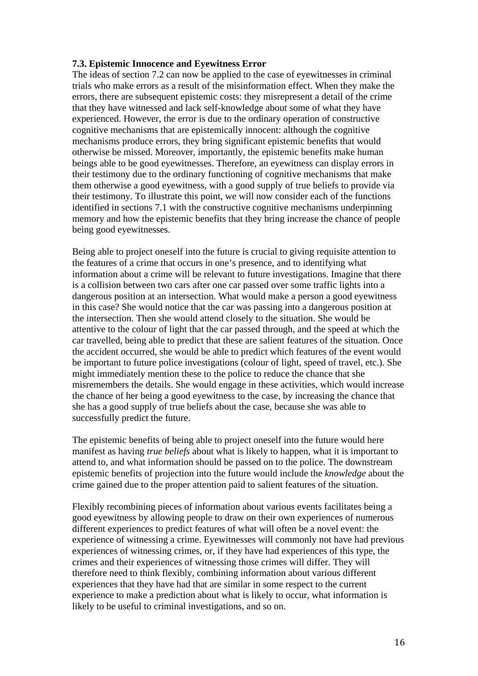### **7.3. Epistemic Innocence and Eyewitness Error**

The ideas of section 7.2 can now be applied to the case of eyewitnesses in criminal trials who make errors as a result of the misinformation effect. When they make the errors, there are subsequent epistemic costs: they misrepresent a detail of the crime that they have witnessed and lack self-knowledge about some of what they have experienced. However, the error is due to the ordinary operation of constructive cognitive mechanisms that are epistemically innocent: although the cognitive mechanisms produce errors, they bring significant epistemic benefits that would otherwise be missed. Moreover, importantly, the epistemic benefits make human beings able to be good eyewitnesses. Therefore, an eyewitness can display errors in their testimony due to the ordinary functioning of cognitive mechanisms that make them otherwise a good eyewitness, with a good supply of true beliefs to provide via their testimony. To illustrate this point, we will now consider each of the functions identified in sections 7.1 with the constructive cognitive mechanisms underpinning memory and how the epistemic benefits that they bring increase the chance of people being good eyewitnesses.

Being able to project oneself into the future is crucial to giving requisite attention to the features of a crime that occurs in one's presence, and to identifying what information about a crime will be relevant to future investigations. Imagine that there is a collision between two cars after one car passed over some traffic lights into a dangerous position at an intersection. What would make a person a good eyewitness in this case? She would notice that the car was passing into a dangerous position at the intersection. Then she would attend closely to the situation. She would be attentive to the colour of light that the car passed through, and the speed at which the car travelled, being able to predict that these are salient features of the situation. Once the accident occurred, she would be able to predict which features of the event would be important to future police investigations (colour of light, speed of travel, etc.). She might immediately mention these to the police to reduce the chance that she misremembers the details. She would engage in these activities, which would increase the chance of her being a good eyewitness to the case, by increasing the chance that she has a good supply of true beliefs about the case, because she was able to successfully predict the future.

The epistemic benefits of being able to project oneself into the future would here manifest as having *true beliefs* about what is likely to happen, what it is important to attend to, and what information should be passed on to the police. The downstream epistemic benefits of projection into the future would include the *knowledge* about the crime gained due to the proper attention paid to salient features of the situation.

Flexibly recombining pieces of information about various events facilitates being a good eyewitness by allowing people to draw on their own experiences of numerous different experiences to predict features of what will often be a novel event: the experience of witnessing a crime. Eyewitnesses will commonly not have had previous experiences of witnessing crimes, or, if they have had experiences of this type, the crimes and their experiences of witnessing those crimes will differ. They will therefore need to think flexibly, combining information about various different experiences that they have had that are similar in some respect to the current experience to make a prediction about what is likely to occur, what information is likely to be useful to criminal investigations, and so on.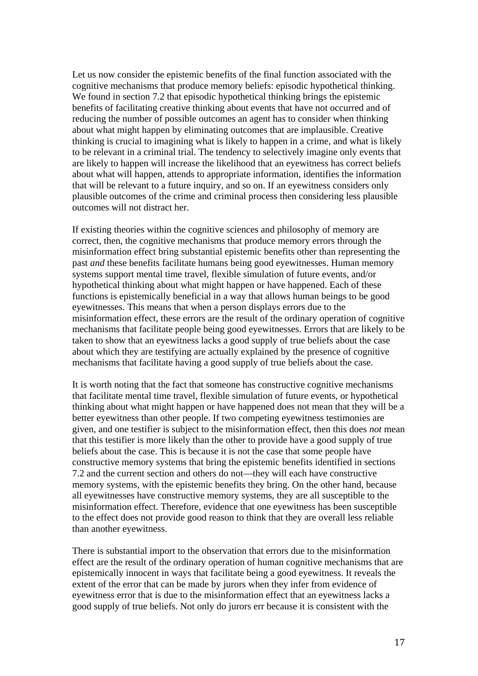Let us now consider the epistemic benefits of the final function associated with the cognitive mechanisms that produce memory beliefs: episodic hypothetical thinking. We found in section 7.2 that episodic hypothetical thinking brings the epistemic benefits of facilitating creative thinking about events that have not occurred and of reducing the number of possible outcomes an agent has to consider when thinking about what might happen by eliminating outcomes that are implausible. Creative thinking is crucial to imagining what is likely to happen in a crime, and what is likely to be relevant in a criminal trial. The tendency to selectively imagine only events that are likely to happen will increase the likelihood that an eyewitness has correct beliefs about what will happen, attends to appropriate information, identifies the information that will be relevant to a future inquiry, and so on. If an eyewitness considers only plausible outcomes of the crime and criminal process then considering less plausible outcomes will not distract her.

If existing theories within the cognitive sciences and philosophy of memory are correct, then, the cognitive mechanisms that produce memory errors through the misinformation effect bring substantial epistemic benefits other than representing the past *and* these benefits facilitate humans being good eyewitnesses. Human memory systems support mental time travel, flexible simulation of future events, and/or hypothetical thinking about what might happen or have happened. Each of these functions is epistemically beneficial in a way that allows human beings to be good eyewitnesses. This means that when a person displays errors due to the misinformation effect, these errors are the result of the ordinary operation of cognitive mechanisms that facilitate people being good eyewitnesses. Errors that are likely to be taken to show that an eyewitness lacks a good supply of true beliefs about the case about which they are testifying are actually explained by the presence of cognitive mechanisms that facilitate having a good supply of true beliefs about the case.

It is worth noting that the fact that someone has constructive cognitive mechanisms that facilitate mental time travel, flexible simulation of future events, or hypothetical thinking about what might happen or have happened does not mean that they will be a better eyewitness than other people. If two competing eyewitness testimonies are given, and one testifier is subject to the misinformation effect, then this does *not* mean that this testifier is more likely than the other to provide have a good supply of true beliefs about the case. This is because it is not the case that some people have constructive memory systems that bring the epistemic benefits identified in sections 7.2 and the current section and others do not—they will each have constructive memory systems, with the epistemic benefits they bring. On the other hand, because all eyewitnesses have constructive memory systems, they are all susceptible to the misinformation effect. Therefore, evidence that one eyewitness has been susceptible to the effect does not provide good reason to think that they are overall less reliable than another eyewitness.

There is substantial import to the observation that errors due to the misinformation effect are the result of the ordinary operation of human cognitive mechanisms that are epistemically innocent in ways that facilitate being a good eyewitness. It reveals the extent of the error that can be made by jurors when they infer from evidence of eyewitness error that is due to the misinformation effect that an eyewitness lacks a good supply of true beliefs. Not only do jurors err because it is consistent with the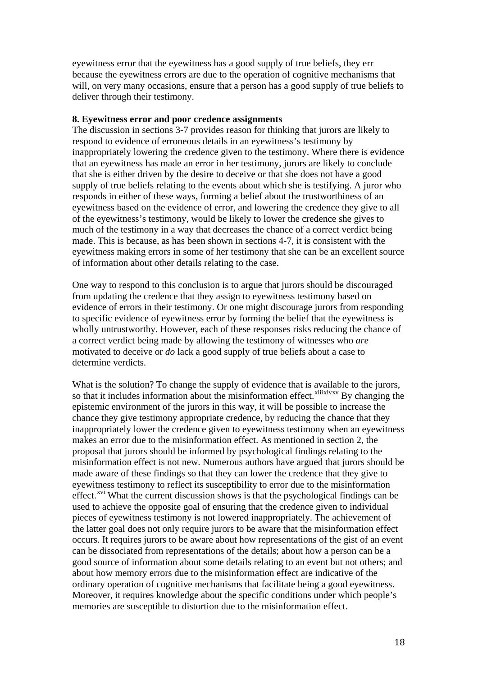eyewitness error that the eyewitness has a good supply of true beliefs, they err because the eyewitness errors are due to the operation of cognitive mechanisms that will, on very many occasions, ensure that a person has a good supply of true beliefs to deliver through their testimony.

#### **8. Eyewitness error and poor credence assignments**

The discussion in sections 3-7 provides reason for thinking that jurors are likely to respond to evidence of erroneous details in an eyewitness's testimony by inappropriately lowering the credence given to the testimony. Where there is evidence that an eyewitness has made an error in her testimony, jurors are likely to conclude that she is either driven by the desire to deceive or that she does not have a good supply of true beliefs relating to the events about which she is testifying. A juror who responds in either of these ways, forming a belief about the trustworthiness of an eyewitness based on the evidence of error, and lowering the credence they give to all of the eyewitness's testimony, would be likely to lower the credence she gives to much of the testimony in a way that decreases the chance of a correct verdict being made. This is because, as has been shown in sections 4-7, it is consistent with the eyewitness making errors in some of her testimony that she can be an excellent source of information about other details relating to the case.

One way to respond to this conclusion is to argue that jurors should be discouraged from updating the credence that they assign to eyewitness testimony based on evidence of errors in their testimony. Or one might discourage jurors from responding to specific evidence of eyewitness error by forming the belief that the eyewitness is wholly untrustworthy. However, each of these responses risks reducing the chance of a correct verdict being made by allowing the testimony of witnesses who *are*  motivated to deceive or *do* lack a good supply of true beliefs about a case to determine verdicts.

What is the solution? To change the supply of evidence that is available to the jurors, so that it includes information about the misinformation effect.<sup>[xiii](#page-27-2)[xiv](#page-27-3)[xv](#page-27-4)</sup> By changing the epistemic environment of the jurors in this way, it will be possible to increase the chance they give testimony appropriate credence, by reducing the chance that they inappropriately lower the credence given to eyewitness testimony when an eyewitness makes an error due to the misinformation effect. As mentioned in section 2, the proposal that jurors should be informed by psychological findings relating to the misinformation effect is not new. Numerous authors have argued that jurors should be made aware of these findings so that they can lower the credence that they give to eyewitness testimony to reflect its susceptibility to error due to the misinformation effect.<sup>[xvi](#page-27-5)</sup> What the current discussion shows is that the psychological findings can be used to achieve the opposite goal of ensuring that the credence given to individual pieces of eyewitness testimony is not lowered inappropriately. The achievement of the latter goal does not only require jurors to be aware that the misinformation effect occurs. It requires jurors to be aware about how representations of the gist of an event can be dissociated from representations of the details; about how a person can be a good source of information about some details relating to an event but not others; and about how memory errors due to the misinformation effect are indicative of the ordinary operation of cognitive mechanisms that facilitate being a good eyewitness. Moreover, it requires knowledge about the specific conditions under which people's memories are susceptible to distortion due to the misinformation effect.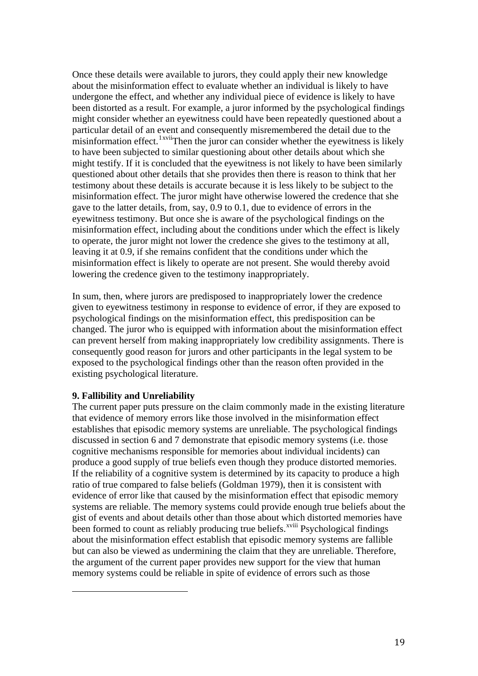Once these details were available to jurors, they could apply their new knowledge about the misinformation effect to evaluate whether an individual is likely to have undergone the effect, and whether any individual piece of evidence is likely to have been distorted as a result. For example, a juror informed by the psychological findings might consider whether an eyewitness could have been repeatedly questioned about a particular detail of an event and consequently misremembered the detail due to the misinformation effect.<sup>[1](#page-19-0)xvii</sup>Then the juror can consider whether the eyewitness is likely to have been subjected to similar questioning about other details about which she might testify. If it is concluded that the eyewitness is not likely to have been similarly questioned about other details that she provides then there is reason to think that her testimony about these details is accurate because it is less likely to be subject to the misinformation effect. The juror might have otherwise lowered the credence that she gave to the latter details, from, say, 0.9 to 0.1, due to evidence of errors in the eyewitness testimony. But once she is aware of the psychological findings on the misinformation effect, including about the conditions under which the effect is likely to operate, the juror might not lower the credence she gives to the testimony at all, leaving it at 0.9, if she remains confident that the conditions under which the misinformation effect is likely to operate are not present. She would thereby avoid lowering the credence given to the testimony inappropriately.

In sum, then, where jurors are predisposed to inappropriately lower the credence given to eyewitness testimony in response to evidence of error, if they are exposed to psychological findings on the misinformation effect, this predisposition can be changed. The juror who is equipped with information about the misinformation effect can prevent herself from making inappropriately low credibility assignments. There is consequently good reason for jurors and other participants in the legal system to be exposed to the psychological findings other than the reason often provided in the existing psychological literature.

### **9. Fallibility and Unreliability**

<span id="page-19-0"></span>i,

The current paper puts pressure on the claim commonly made in the existing literature that evidence of memory errors like those involved in the misinformation effect establishes that episodic memory systems are unreliable. The psychological findings discussed in section 6 and 7 demonstrate that episodic memory systems (i.e. those cognitive mechanisms responsible for memories about individual incidents) can produce a good supply of true beliefs even though they produce distorted memories. If the reliability of a cognitive system is determined by its capacity to produce a high ratio of true compared to false beliefs (Goldman 1979), then it is consistent with evidence of error like that caused by the misinformation effect that episodic memory systems are reliable. The memory systems could provide enough true beliefs about the gist of events and about details other than those about which distorted memories have been formed to count as rel[i](#page-27-7)ably producing true beliefs.<sup>xviii</sup> Psychological findings about the misinformation effect establish that episodic memory systems are fallible but can also be viewed as undermining the claim that they are unreliable. Therefore, the argument of the current paper provides new support for the view that human memory systems could be reliable in spite of evidence of errors such as those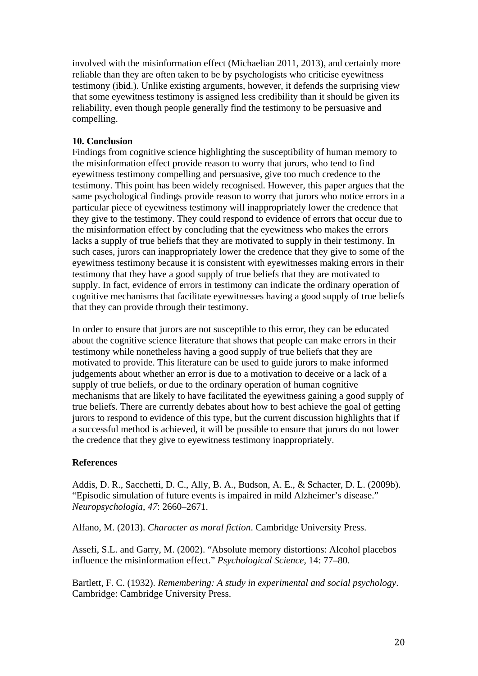involved with the misinformation effect (Michaelian 2011, 2013), and certainly more reliable than they are often taken to be by psychologists who criticise eyewitness testimony (ibid.). Unlike existing arguments, however, it defends the surprising view that some eyewitness testimony is assigned less credibility than it should be given its reliability, even though people generally find the testimony to be persuasive and compelling.

## **10. Conclusion**

Findings from cognitive science highlighting the susceptibility of human memory to the misinformation effect provide reason to worry that jurors, who tend to find eyewitness testimony compelling and persuasive, give too much credence to the testimony. This point has been widely recognised. However, this paper argues that the same psychological findings provide reason to worry that jurors who notice errors in a particular piece of eyewitness testimony will inappropriately lower the credence that they give to the testimony. They could respond to evidence of errors that occur due to the misinformation effect by concluding that the eyewitness who makes the errors lacks a supply of true beliefs that they are motivated to supply in their testimony. In such cases, jurors can inappropriately lower the credence that they give to some of the eyewitness testimony because it is consistent with eyewitnesses making errors in their testimony that they have a good supply of true beliefs that they are motivated to supply. In fact, evidence of errors in testimony can indicate the ordinary operation of cognitive mechanisms that facilitate eyewitnesses having a good supply of true beliefs that they can provide through their testimony.

In order to ensure that jurors are not susceptible to this error, they can be educated about the cognitive science literature that shows that people can make errors in their testimony while nonetheless having a good supply of true beliefs that they are motivated to provide. This literature can be used to guide jurors to make informed judgements about whether an error is due to a motivation to deceive or a lack of a supply of true beliefs, or due to the ordinary operation of human cognitive mechanisms that are likely to have facilitated the eyewitness gaining a good supply of true beliefs. There are currently debates about how to best achieve the goal of getting jurors to respond to evidence of this type, but the current discussion highlights that if a successful method is achieved, it will be possible to ensure that jurors do not lower the credence that they give to eyewitness testimony inappropriately.

### **References**

Addis, D. R., Sacchetti, D. C., Ally, B. A., Budson, A. E., & Schacter, D. L. (2009b). "Episodic simulation of future events is impaired in mild Alzheimer's disease." *Neuropsychologia*, *47*: 2660–2671.

Alfano, M. (2013). *Character as moral fiction*. Cambridge University Press.

Assefi, S.L. and Garry, M. (2002). "Absolute memory distortions: Alcohol placebos influence the misinformation effect." *Psychological Science,* 14: 77–80.

Bartlett, F. C. (1932). *Remembering: A study in experimental and social psychology*. Cambridge: Cambridge University Press.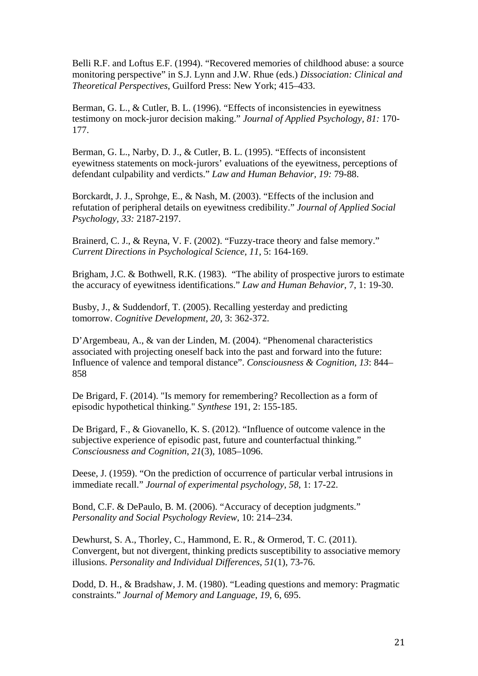Belli R.F. and Loftus E.F. (1994). "Recovered memories of childhood abuse: a source monitoring perspective" in S.J. Lynn and J.W. Rhue (eds.) *Dissociation: Clinical and Theoretical Perspectives*, Guilford Press: New York; 415–433.

Berman, G. L., & Cutler, B. L. (1996). "Effects of inconsistencies in eyewitness testimony on mock-juror decision making." *Journal of Applied Psychology, 81:* 170- 177.

Berman, G. L., Narby, D. J., & Cutler, B. L. (1995). "Effects of inconsistent eyewitness statements on mock-jurors' evaluations of the eyewitness, perceptions of defendant culpability and verdicts." *Law and Human Behavior, 19:* 79-88.

Borckardt, J. J., Sprohge, E., & Nash, M. (2003). "Effects of the inclusion and refutation of peripheral details on eyewitness credibility." *Journal of Applied Social Psychology, 33:* 2187-2197.

Brainerd, C. J., & Reyna, V. F. (2002). "Fuzzy-trace theory and false memory." *Current Directions in Psychological Science*, *11*, 5: 164-169.

Brigham, J.C. & Bothwell, R.K. (1983). "The ability of prospective jurors to estimate the accuracy of eyewitness identifications." *Law and Human Behavior*, 7, 1: 19-30.

Busby, J., & Suddendorf, T. (2005). Recalling yesterday and predicting tomorrow. *Cognitive Development*, *20*, 3: 362-372.

D'Argembeau, A., & van der Linden, M. (2004). "Phenomenal characteristics associated with projecting oneself back into the past and forward into the future: Influence of valence and temporal distance". *Consciousness & Cognition*, *13*: 844– 858

De Brigard, F. (2014). "Is memory for remembering? Recollection as a form of episodic hypothetical thinking." *Synthese* 191, 2: 155-185.

De Brigard, F., & Giovanello, K. S. (2012). "Influence of outcome valence in the subjective experience of episodic past, future and counterfactual thinking." *Consciousness and Cognition*, *21*(3), 1085–1096.

Deese, J. (1959). "On the prediction of occurrence of particular verbal intrusions in immediate recall." *Journal of experimental psychology*, *58*, 1: 17-22.

Bond, C.F. & DePaulo, B. M. (2006). "Accuracy of deception judgments." *Personality and Social Psychology Review*, 10: 214–234.

Dewhurst, S. A., Thorley, C., Hammond, E. R., & Ormerod, T. C. (2011). Convergent, but not divergent, thinking predicts susceptibility to associative memory illusions. *Personality and Individual Differences*, *51*(1), 73-76.

Dodd, D. H., & Bradshaw, J. M. (1980). "Leading questions and memory: Pragmatic constraints." *Journal of Memory and Language*, *19*, 6, 695.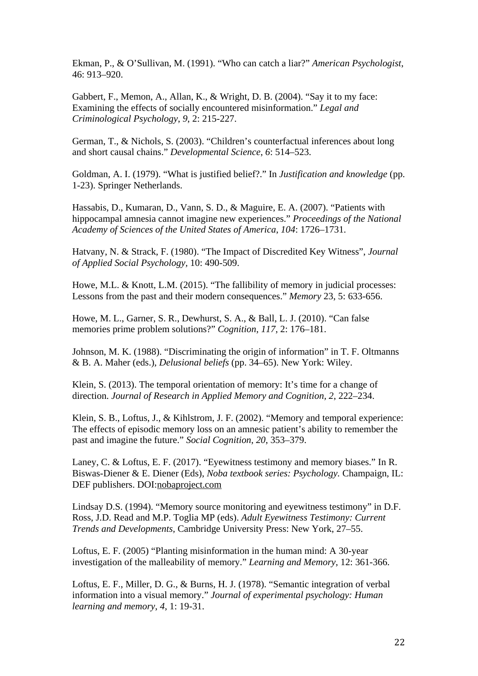Ekman, P., & O'Sullivan, M. (1991). "Who can catch a liar?" *American Psychologist*, 46: 913–920.

Gabbert, F., Memon, A., Allan, K., & Wright, D. B. (2004). "Say it to my face: Examining the effects of socially encountered misinformation." *Legal and Criminological Psychology*, *9*, 2: 215-227.

German, T., & Nichols, S. (2003). "Children's counterfactual inferences about long and short causal chains." *Developmental Science*, *6*: 514–523.

Goldman, A. I. (1979). "What is justified belief?." In *Justification and knowledge* (pp. 1-23). Springer Netherlands.

Hassabis, D., Kumaran, D., Vann, S. D., & Maguire, E. A. (2007). "Patients with hippocampal amnesia cannot imagine new experiences." *Proceedings of the National Academy of Sciences of the United States of America*, *104*: 1726–1731.

Hatvany, N. & Strack, F. (1980). "The Impact of Discredited Key Witness", *Journal of Applied Social Psychology,* 10: 490-509.

Howe, M.L. & Knott, L.M. (2015). "The fallibility of memory in judicial processes: Lessons from the past and their modern consequences." *Memory* 23, 5: 633-656.

Howe, M. L., Garner, S. R., Dewhurst, S. A., & Ball, L. J. (2010). "Can false memories prime problem solutions?" *Cognition*, *117*, 2: 176–181.

Johnson, M. K. (1988). "Discriminating the origin of information" in T. F. Oltmanns & B. A. Maher (eds.), *Delusional beliefs* (pp. 34–65). New York: Wiley.

Klein, S. (2013). The temporal orientation of memory: It's time for a change of direction. *Journal of Research in Applied Memory and Cognition, 2*, 222–234.

Klein, S. B., Loftus, J., & Kihlstrom, J. F. (2002). "Memory and temporal experience: The effects of episodic memory loss on an amnesic patient's ability to remember the past and imagine the future." *Social Cognition*, *20*, 353–379.

Laney, C. & Loftus, E. F. (2017). "Eyewitness testimony and memory biases." In R. Biswas-Diener & E. Diener (Eds), *Noba textbook series: Psychology.* Champaign, IL: DEF publishers. DOI[:nobaproject.com](http://www.nobaproject.com/)

Lindsay D.S. (1994). "Memory source monitoring and eyewitness testimony" in D.F. Ross, J.D. Read and M.P. Toglia MP (eds). *Adult Eyewitness Testimony: Current Trends and Developments,* Cambridge University Press: New York, 27–55.

Loftus, E. F. (2005) "Planting misinformation in the human mind: A 30-year investigation of the malleability of memory." *Learning and Memory*, 12: 361-366.

Loftus, E. F., Miller, D. G., & Burns, H. J. (1978). "Semantic integration of verbal information into a visual memory." *Journal of experimental psychology: Human learning and memory*, *4*, 1: 19-31.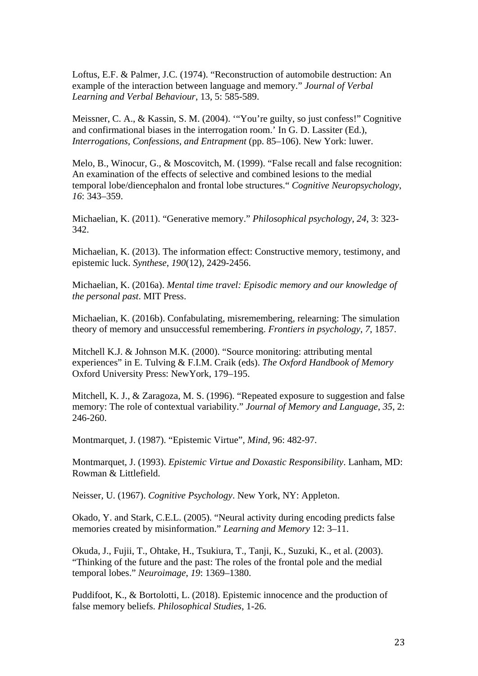Loftus, E.F. & Palmer, J.C. (1974). "Reconstruction of automobile destruction: An example of the interaction between language and memory." *Journal of Verbal Learning and Verbal Behaviour*, 13, 5: 585-589.

Meissner, C. A., & Kassin, S. M. (2004). '"You're guilty, so just confess!" Cognitive and confirmational biases in the interrogation room.' In G. D. Lassiter (Ed.), *Interrogations, Confessions, and Entrapment* (pp. 85–106). New York: luwer.

Melo, B., Winocur, G., & Moscovitch, M. (1999). "False recall and false recognition: An examination of the effects of selective and combined lesions to the medial temporal lobe/diencephalon and frontal lobe structures." *Cognitive Neuropsychology*, *16*: 343–359.

Michaelian, K. (2011). "Generative memory." *Philosophical psychology*, *24*, 3: 323- 342.

Michaelian, K. (2013). The information effect: Constructive memory, testimony, and epistemic luck. *Synthese*, *190*(12), 2429-2456.

Michaelian, K. (2016a). *Mental time travel: Episodic memory and our knowledge of the personal past*. MIT Press.

Michaelian, K. (2016b). Confabulating, misremembering, relearning: The simulation theory of memory and unsuccessful remembering. *Frontiers in psychology*, *7*, 1857.

Mitchell K.J. & Johnson M.K. (2000). "Source monitoring: attributing mental experiences" in E. Tulving & F.I.M. Craik (eds). *The Oxford Handbook of Memory* Oxford University Press: NewYork, 179–195.

Mitchell, K. J., & Zaragoza, M. S. (1996). "Repeated exposure to suggestion and false memory: The role of contextual variability." *Journal of Memory and Language*, *35*, 2: 246-260.

Montmarquet, J. (1987). "Epistemic Virtue", *Mind*, 96: 482-97.

Montmarquet, J. (1993). *Epistemic Virtue and Doxastic Responsibility*. Lanham, MD: Rowman & Littlefield.

Neisser, U. (1967). *Cognitive Psychology*. New York, NY: Appleton.

Okado, Y. and Stark, C.E.L. (2005). "Neural activity during encoding predicts false memories created by misinformation." *Learning and Memory* 12: 3–11.

Okuda, J., Fujii, T., Ohtake, H., Tsukiura, T., Tanji, K., Suzuki, K., et al. (2003). "Thinking of the future and the past: The roles of the frontal pole and the medial temporal lobes." *Neuroimage*, *19*: 1369–1380.

Puddifoot, K., & Bortolotti, L. (2018). Epistemic innocence and the production of false memory beliefs. *Philosophical Studies*, 1-26.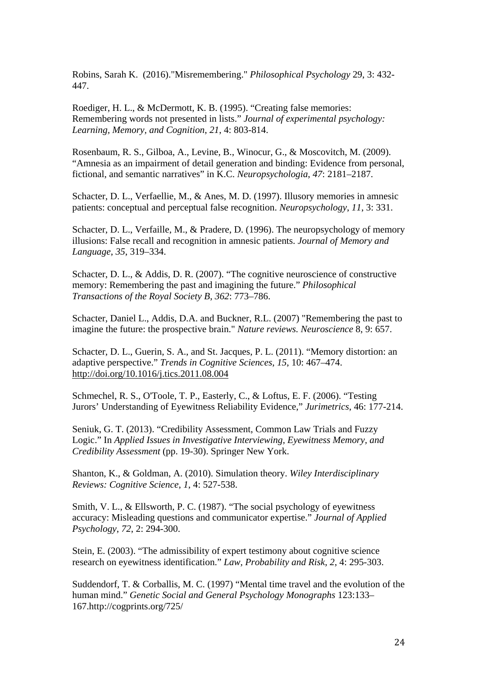Robins, Sarah K. (2016)."Misremembering." *Philosophical Psychology* 29, 3: 432- 447.

Roediger, H. L., & McDermott, K. B. (1995). "Creating false memories: Remembering words not presented in lists." *Journal of experimental psychology: Learning, Memory, and Cognition*, *21*, 4: 803-814.

Rosenbaum, R. S., Gilboa, A., Levine, B., Winocur, G., & Moscovitch, M. (2009). "Amnesia as an impairment of detail generation and binding: Evidence from personal, fictional, and semantic narratives" in K.C. *Neuropsychologia*, *47*: 2181–2187.

Schacter, D. L., Verfaellie, M., & Anes, M. D. (1997). Illusory memories in amnesic patients: conceptual and perceptual false recognition. *Neuropsychology*, *11*, 3: 331.

Schacter, D. L., Verfaille, M., & Pradere, D. (1996). The neuropsychology of memory illusions: False recall and recognition in amnesic patients. *Journal of Memory and Language*, *35*, 319–334.

Schacter, D. L., & Addis, D. R. (2007). "The cognitive neuroscience of constructive memory: Remembering the past and imagining the future." *Philosophical Transactions of the Royal Society B*, *362*: 773–786.

Schacter, Daniel L., Addis, D.A. and Buckner, R.L. (2007) "Remembering the past to imagine the future: the prospective brain." *Nature reviews. Neuroscience* 8, 9: 657.

Schacter, D. L., Guerin, S. A., and St. Jacques, P. L. (2011). "Memory distortion: an adaptive perspective." *Trends in Cognitive Sciences*, *15*, 10: 467–474. <http://doi.org/10.1016/j.tics.2011.08.004>

Schmechel, R. S., O'Toole, T. P., Easterly, C., & Loftus, E. F. (2006). "Testing Jurors' Understanding of Eyewitness Reliability Evidence," *Jurimetrics*, 46: 177-214.

Seniuk, G. T. (2013). "Credibility Assessment, Common Law Trials and Fuzzy Logic." In *Applied Issues in Investigative Interviewing, Eyewitness Memory, and Credibility Assessment* (pp. 19-30). Springer New York.

Shanton, K., & Goldman, A. (2010). Simulation theory. *Wiley Interdisciplinary Reviews: Cognitive Science*, *1*, 4: 527-538.

Smith, V. L., & Ellsworth, P. C. (1987). "The social psychology of eyewitness accuracy: Misleading questions and communicator expertise." *Journal of Applied Psychology*, *72*, 2: 294-300.

Stein, E. (2003). "The admissibility of expert testimony about cognitive science research on eyewitness identification." *Law, Probability and Risk*, *2*, 4: 295-303.

Suddendorf, T. & Corballis, M. C. (1997) "Mental time travel and the evolution of the human mind." *Genetic Social and General Psychology Monographs* 123:133– 167.http://cogprints.org/725/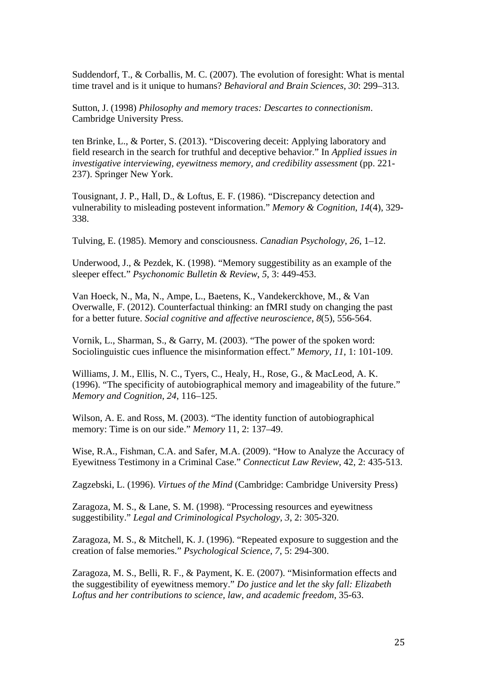Suddendorf, T., & Corballis, M. C. (2007). The evolution of foresight: What is mental time travel and is it unique to humans? *Behavioral and Brain Sciences*, *30*: 299–313.

Sutton, J. (1998) *Philosophy and memory traces: Descartes to connectionism*. Cambridge University Press.

ten Brinke, L., & Porter, S. (2013). "Discovering deceit: Applying laboratory and field research in the search for truthful and deceptive behavior." In *Applied issues in investigative interviewing, eyewitness memory, and credibility assessment* (pp. 221- 237). Springer New York.

Tousignant, J. P., Hall, D., & Loftus, E. F. (1986). "Discrepancy detection and vulnerability to misleading postevent information." *Memory & Cognition*, *14*(4), 329- 338.

Tulving, E. (1985). Memory and consciousness. *Canadian Psychology*, *26*, 1–12.

Underwood, J., & Pezdek, K. (1998). "Memory suggestibility as an example of the sleeper effect." *Psychonomic Bulletin & Review*, *5*, 3: 449-453.

Van Hoeck, N., Ma, N., Ampe, L., Baetens, K., Vandekerckhove, M., & Van Overwalle, F. (2012). Counterfactual thinking: an fMRI study on changing the past for a better future. *Social cognitive and affective neuroscience*, *8*(5), 556-564.

Vornik, L., Sharman, S., & Garry, M. (2003). "The power of the spoken word: Sociolinguistic cues influence the misinformation effect." *Memory*, *11*, 1: 101-109.

Williams, J. M., Ellis, N. C., Tyers, C., Healy, H., Rose, G., & MacLeod, A. K. (1996). "The specificity of autobiographical memory and imageability of the future." *Memory and Cognition*, *24*, 116–125.

Wilson, A. E. and Ross, M. (2003). "The identity function of autobiographical memory: Time is on our side." *Memory* 11, 2: 137–49.

Wise, R.A., Fishman, C.A. and Safer, M.A. (2009). "How to Analyze the Accuracy of Eyewitness Testimony in a Criminal Case." *Connecticut Law Review*, 42, 2: 435-513.

Zagzebski, L. (1996). *Virtues of the Mind* (Cambridge: Cambridge University Press)

Zaragoza, M. S., & Lane, S. M. (1998). "Processing resources and eyewitness suggestibility." *Legal and Criminological Psychology*, *3*, 2: 305-320.

Zaragoza, M. S., & Mitchell, K. J. (1996). "Repeated exposure to suggestion and the creation of false memories." *Psychological Science*, *7*, 5: 294-300.

Zaragoza, M. S., Belli, R. F., & Payment, K. E. (2007). "Misinformation effects and the suggestibility of eyewitness memory." *Do justice and let the sky fall: Elizabeth Loftus and her contributions to science, law, and academic freedom*, 35-63.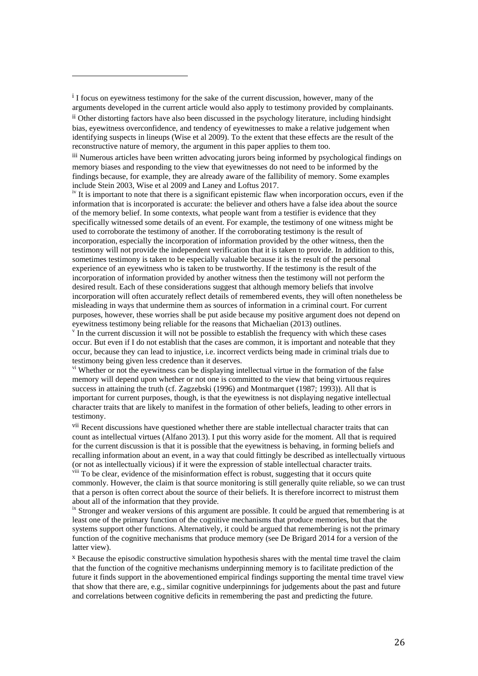<span id="page-26-0"></span>i I focus on eyewitness testimony for the sake of the current discussion, however, many of the arguments developed in the current article would also apply to testimony provided by complainants.

i,

<span id="page-26-1"></span>ii Other distorting factors have also been discussed in the psychology literature, including hindsight bias, eyewitness overconfidence, and tendency of eyewitnesses to make a relative judgement when identifying suspects in lineups (Wise et al 2009). To the extent that these effects are the result of the reconstructive nature of memory, the argument in this paper applies to them too.

<span id="page-26-2"></span>iii Numerous articles have been written advocating jurors being informed by psychological findings on memory biases and responding to the view that eyewitnesses do not need to be informed by the findings because, for example, they are already aware of the fallibility of memory. Some examples include Stein 2003, Wise et al 2009 and Laney and Loftus 2017.

<span id="page-26-3"></span><sup>iv</sup> It is important to note that there is a significant epistemic flaw when incorporation occurs, even if the information that is incorporated is accurate: the believer and others have a false idea about the source of the memory belief. In some contexts, what people want from a testifier is evidence that they specifically witnessed some details of an event. For example, the testimony of one witness might be used to corroborate the testimony of another. If the corroborating testimony is the result of incorporation, especially the incorporation of information provided by the other witness, then the testimony will not provide the independent verification that it is taken to provide. In addition to this, sometimes testimony is taken to be especially valuable because it is the result of the personal experience of an eyewitness who is taken to be trustworthy. If the testimony is the result of the incorporation of information provided by another witness then the testimony will not perform the desired result. Each of these considerations suggest that although memory beliefs that involve incorporation will often accurately reflect details of remembered events, they will often nonetheless be misleading in ways that undermine them as sources of information in a criminal court. For current purposes, however, these worries shall be put aside because my positive argument does not depend on eyewitness testimony being reliable for the reasons that Michaelian (2013) outlines.

<span id="page-26-4"></span> $\gamma$  In the current discussion it will not be possible to establish the frequency with which these cases occur. But even if I do not establish that the cases are common, it is important and noteable that they occur, because they can lead to injustice, i.e. incorrect verdicts being made in criminal trials due to testimony being given less credence than it deserves.

<span id="page-26-5"></span><sup>vi</sup> Whether or not the eyewitness can be displaying intellectual virtue in the formation of the false memory will depend upon whether or not one is committed to the view that being virtuous requires success in attaining the truth (cf. Zagzebski (1996) and Montmarquet (1987; 1993)). All that is important for current purposes, though, is that the eyewitness is not displaying negative intellectual character traits that are likely to manifest in the formation of other beliefs, leading to other errors in testimony.

<span id="page-26-6"></span>vii Recent discussions have questioned whether there are stable intellectual character traits that can count as intellectual virtues (Alfano 2013). I put this worry aside for the moment. All that is required for the current discussion is that it is possible that the eyewitness is behaving, in forming beliefs and recalling information about an event, in a way that could fittingly be described as intellectually virtuous (or not as intellectually vicious) if it were the expression of stable intellectual character traits. viii To be clear, evidence of the misinformation effect is robust, suggesting that it occurs quite

<span id="page-26-7"></span>commonly. However, the claim is that source monitoring is still generally quite reliable, so we can trust that a person is often correct about the source of their beliefs. It is therefore incorrect to mistrust them about all of the information that they provide.

<span id="page-26-8"></span><sup>ix</sup> Stronger and weaker versions of this argument are possible. It could be argued that remembering is at least one of the primary function of the cognitive mechanisms that produce memories, but that the systems support other functions. Alternatively, it could be argued that remembering is not the primary function of the cognitive mechanisms that produce memory (see De Brigard 2014 for a version of the latter view).

<span id="page-26-9"></span>x Because the episodic constructive simulation hypothesis shares with the mental time travel the claim that the function of the cognitive mechanisms underpinning memory is to facilitate prediction of the future it finds support in the abovementioned empirical findings supporting the mental time travel view that show that there are, e.g., similar cognitive underpinnings for judgements about the past and future and correlations between cognitive deficits in remembering the past and predicting the future.